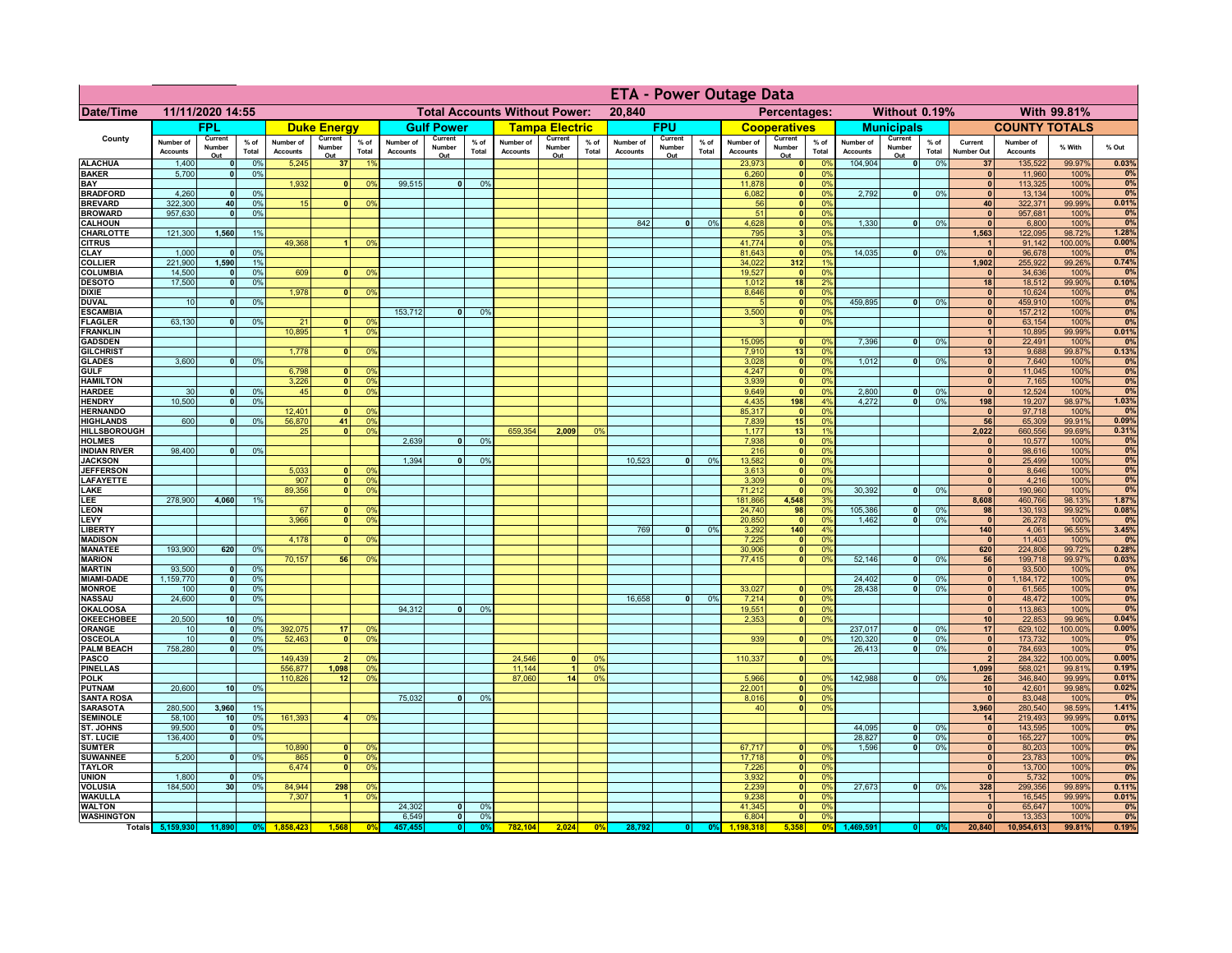|                                      |                              |                            |                 |                                      |                          |                                  | <b>ETA - Power Outage Data</b> |                          |                |                              |                          |                |                              |                          |               |                              |                               |                       |                              |                              |                 |                                 |                              |                   |                |
|--------------------------------------|------------------------------|----------------------------|-----------------|--------------------------------------|--------------------------|----------------------------------|--------------------------------|--------------------------|----------------|------------------------------|--------------------------|----------------|------------------------------|--------------------------|---------------|------------------------------|-------------------------------|-----------------------|------------------------------|------------------------------|-----------------|---------------------------------|------------------------------|-------------------|----------------|
| Date/Time                            | 11/11/2020 14:55             |                            |                 | <b>Total Accounts Without Power:</b> |                          |                                  |                                | 20,840<br>Percentages:   |                |                              |                          |                | Without 0.19%<br>With 99.81% |                          |               |                              |                               |                       |                              |                              |                 |                                 |                              |                   |                |
|                                      |                              | <b>FPL</b>                 |                 |                                      | <b>Duke Energy</b>       |                                  |                                | <b>Gulf Power</b>        |                |                              | <b>Tampa Electric</b>    |                |                              | <b>FPU</b>               |               |                              | <b>Cooperatives</b>           |                       |                              | <b>Municipals</b>            |                 |                                 | <b>COUNTY TOTALS</b>         |                   |                |
| County                               | Number of<br><b>Accounts</b> | Current<br>Number<br>Out   | $%$ of<br>Total | Number of<br><b>Accounts</b>         | Current<br>Number<br>Out | $%$ of<br>Total                  | Number of<br><b>Accounts</b>   | Current<br>Number<br>Out | % of<br>Total  | Number of<br><b>Accounts</b> | Current<br>Number<br>Out | % of<br>Total  | Number of<br><b>Accounts</b> | Current<br>Number<br>Out | % of<br>Total | Number of<br><b>Accounts</b> | Current<br>Number<br>Out      | $%$ of<br>Total       | Number of<br><b>Accounts</b> | Current<br>Number<br>Out     | $%$ of<br>Total | Current<br><b>Number Out</b>    | Number of<br><b>Accounts</b> | % With            | % Out          |
| <b>ALACHUA</b>                       | 1,400                        | $\mathbf{0}$               | 0%              | 5,245                                | 37                       | 19                               |                                |                          |                |                              |                          |                |                              |                          |               | 23,973                       | 0                             | 0 <sup>9</sup>        | 104,904                      | $\bullet$                    | 0%              | 37                              | 135,522                      | 99.97%            | 0.03%          |
| <b>BAKER</b><br>BAY                  | 5,700                        | 0                          | 0%              | 1,932                                | $\mathbf{0}$             | 0 <sup>9</sup>                   | 99,515                         | $\overline{\mathbf{0}}$  | 0%             |                              |                          |                |                              |                          |               | 6,260<br>11,878              | 0 <br> 0                      | 0%<br>0%              |                              |                              |                 | $\mathbf{0}$<br>$\mathbf{0}$    | 11,960<br>113,325            | 100%<br>100%      | 0%<br>0%       |
| <b>BRADFORD</b>                      | 4,260                        | $\mathbf{0}$               | 0%              |                                      |                          |                                  |                                |                          |                |                              |                          |                |                              |                          |               | 6,082                        | 0                             | 0%                    | 2,792                        | $\mathbf{0}$                 | 0%              | $\mathbf{0}$                    | 13,134                       | 100%              | 0%             |
| <b>BREVARD</b>                       | 322,300                      | 40<br>$\mathbf{0}$         | 0%              | 15                                   | $\Omega$                 | 0%                               |                                |                          |                |                              |                          |                |                              |                          |               | 56                           |                               | 0 <br>0%<br>0%        |                              |                              |                 | 40<br>$\mathbf{0}$              | 322,371                      | 99.99%            | 0.01%          |
| <b>BROWARD</b><br><b>CALHOUN</b>     | 957,630                      |                            | 0%              |                                      |                          |                                  |                                |                          |                |                              |                          |                | 842                          | $\mathbf{0}$             | 0%            | 51<br>4,628                  | 0 <br> 0                      | 0%                    | 1,330                        | $\mathbf{0}$                 | 0%              | $\mathbf{0}$                    | 957,681<br>6,800             | 100%<br>100%      | 0%<br>0%       |
| CHARLOTTE                            | 121,300                      | 1,560                      | 1%              |                                      |                          |                                  |                                |                          |                |                              |                          |                |                              |                          |               | 795                          | 3 <sup>1</sup>                | 0%                    |                              |                              |                 | 1,563                           | 122,095                      | 98.72%            | 1.28%          |
| <b>CITRUS</b><br><b>CLAY</b>         | 1,000                        | $\mathbf{0}$               | 0%              | 49,368                               |                          | 0 <sup>9</sup>                   |                                |                          |                |                              |                          |                |                              |                          |               | 41,774<br>81,643             | 0 <br> 0                      | 0%<br>0 <sup>9</sup>  | 14,035                       | $\mathbf{0}$                 | 0%              | $\mathbf{0}$                    | 91,142<br>96,678             | 100.00%<br>100%   | 0.00%<br>0%    |
| <b>COLLIER</b>                       | 221,900                      | 1,590                      | 1%              |                                      |                          |                                  |                                |                          |                |                              |                          |                |                              |                          |               | 34,022                       | 312                           | 19                    |                              |                              |                 | 1,902                           | 255,922                      | 99.26%            | 0.74%          |
| <b>COLUMBIA</b>                      | 14,500                       | $\mathbf{0}$               | 0%              | 609                                  |                          | 0%                               |                                |                          |                |                              |                          |                |                              |                          |               | 19,527                       | 0                             | 0%                    |                              |                              |                 | $\mathbf{0}$                    | 34,636                       | 100%              | 0%             |
| <b>DESOTO</b><br><b>DIXIE</b>        | 17,500                       | $\mathbf{0}$               | 0%              | 1,978                                |                          | 0 <sup>9</sup>                   |                                |                          |                |                              |                          |                |                              |                          |               | 1,012<br>8,646               | 18<br> 0                      | 2%<br>0%              |                              |                              |                 | 18<br>$\mathbf{0}$              | 18,512<br>10,624             | 99.90%<br>100%    | 0.10%<br>0%    |
| <b>DUVAL</b>                         | 10                           | $\mathbf{0}$               | 0%              |                                      |                          |                                  |                                |                          |                |                              |                          |                |                              |                          |               |                              | 0                             | 0%                    | 459,895                      | $\mathbf{0}$                 | 0%              | $\mathbf{0}$                    | 459,910                      | 100%              | 0%             |
| <b>ESCAMBIA</b>                      | 63,130                       |                            |                 |                                      |                          |                                  | 153,712                        | $\Omega$                 | 0 <sup>9</sup> |                              |                          |                |                              |                          |               | 3,500                        | 0 <br>$\overline{\mathbf{0}}$ | 0%                    |                              |                              |                 | $\mathbf{0}$                    | 157,212                      | 100%              | 0%<br>0%       |
| <b>FLAGLER</b><br><b>FRANKLIN</b>    |                              | $\mathbf{0}$               | 0%              | 21<br>10,895                         |                          | 0 <sup>9</sup><br>0 <sup>9</sup> |                                |                          |                |                              |                          |                |                              |                          |               | 3                            |                               | 0%                    |                              |                              |                 | $\mathbf{0}$<br>$\mathbf{1}$    | 63,154<br>10,895             | 100%<br>99.99%    | 0.01%          |
| <b>GADSDEN</b>                       |                              |                            |                 |                                      |                          |                                  |                                |                          |                |                              |                          |                |                              |                          |               | 15.095                       | 0                             | 0%                    | 7,396                        | 0                            | 0%              | $\Omega$                        | 22,491                       | 100%              | 0%             |
| <b>GILCHRIST</b>                     | 3,600                        |                            | 0%              | 1.778                                | $\mathbf{0}$             | 0 <sup>9</sup>                   |                                |                          |                |                              |                          |                |                              |                          |               | 7,910<br>3,028               | 13<br> 0                      | 0%<br>0%              | 1,012                        | $\bullet$                    | 0%              | 13<br>$\mathbf{0}$              | 9,688                        | 99.87%            | 0.13%<br>0%    |
| <b>GLADES</b><br><b>GULF</b>         |                              | 0                          |                 | 6,798                                | $\mathbf{0}$             | 0%                               |                                |                          |                |                              |                          |                |                              |                          |               | 4,247                        | 0                             | 0%                    |                              |                              |                 | 0                               | 7,640<br>11,045              | 100%<br>100%      | 0%             |
| <b>HAMILTON</b>                      |                              |                            |                 | 3,226                                | 0                        | 0 <sup>9</sup>                   |                                |                          |                |                              |                          |                |                              |                          |               | 3,939                        | 0                             | 0%                    |                              |                              |                 | $\mathbf{0}$                    | 7,165                        | 100%              | 0%             |
| <b>HARDEE</b><br><b>HENDRY</b>       | 30<br>10.500                 | $\Omega$<br>$\overline{0}$ | 0%<br>0%        | 45                                   | $\Omega$                 | 0 <sup>9</sup>                   |                                |                          |                |                              |                          |                |                              |                          |               | 9,649<br>4,435               | 0 <br>198                     | 0%<br>4%              | 2,800<br>4.272               | $\mathbf{0}$<br>$\bullet$    | 0%<br>0%        | $\mathbf{0}$<br>198             | 12,524<br>19,207             | 100%<br>98.97%    | 0%<br>1.03%    |
| <b>HERNANDO</b>                      |                              |                            |                 | 12,401                               |                          | 0 <sup>9</sup>                   |                                |                          |                |                              |                          |                |                              |                          |               | 85,317                       | $\overline{0}$                | 0%                    |                              |                              |                 | $\sqrt{2}$                      | 97,718                       | 100%              | 0%             |
| <b>HIGHLANDS</b>                     | 600                          | $\Omega$                   | 0 <sup>9</sup>  | 56,870                               | 41                       | 0 <sup>9</sup>                   |                                |                          |                |                              |                          |                |                              |                          |               | 7,839                        | 15                            | 0%                    |                              |                              |                 | 56                              | 65,309                       | 99.91%            | 0.09%          |
| HILLSBOROUGH<br><b>HOLMES</b>        |                              |                            |                 | 25                                   | $\sqrt{2}$               | 0 <sup>9</sup>                   | 2,639                          | n l                      | 0%             | 659,354                      | 2,009                    | 0 <sup>9</sup> |                              |                          |               | 1,177<br>7,938               | 13<br> 0                      | 1%<br>0%              |                              |                              |                 | 2,022<br>$\Omega$               | 660,556<br>10,577            | 99.69%<br>100%    | 0.31%<br>0%    |
| <b>INDIAN RIVER</b>                  | 98,400                       |                            | 0%              |                                      |                          |                                  |                                |                          |                |                              |                          |                |                              |                          |               | 216                          | $\overline{0}$                | 0%                    |                              |                              |                 | 0                               | 98,616                       | 100%              | 0%             |
| <b>JACKSON</b>                       |                              |                            |                 |                                      |                          |                                  | 1,394                          | <sub>0</sub>             | 0 <sup>9</sup> |                              |                          |                | 10.523                       |                          | 0%            | 13,582                       | 0                             | 0%                    |                              |                              |                 | 0                               | 25,499                       | 100%              | 0%             |
| <b>JEFFERSON</b><br><b>LAFAYETTE</b> |                              |                            |                 | 5,033<br>907                         |                          | 0 <sup>9</sup><br>0 <sup>9</sup> |                                |                          |                |                              |                          |                |                              |                          |               | 3,613<br>3,309               | 0 <br> 0                      | 0%<br>0%              |                              |                              |                 | 0 <br>$\mathbf{0}$              | 8,646<br>4,216               | 100%<br>100%      | 0%<br>0%       |
| LAKE                                 |                              |                            |                 | 89,356                               |                          | 0 <sup>9</sup>                   |                                |                          |                |                              |                          |                |                              |                          |               | 71,212                       | 0                             | 0%                    | 30,392                       | $\mathbf{0}$                 | 0%              | $\mathbf{0}$                    | 190,960                      | 100%              | 0%             |
| LEE                                  | 278,900                      | 4,060                      | 1%              | 67                                   |                          | 0 <sup>9</sup>                   |                                |                          |                |                              |                          |                |                              |                          |               | 181,866                      | 4,548                         | 3%<br>0%              | 105,386                      | $\mathbf{0}$                 | 0%              | 8,608                           | 460,766                      | 98.13%            | 1.87%          |
| <b>LEON</b><br>LEVY                  |                              |                            |                 | 3,966                                | $\mathbf{0}$             | 0%                               |                                |                          |                |                              |                          |                |                              |                          |               | 24,740<br>20,850             | 98<br>$\overline{0}$          | 0%                    | 1,462                        | $\mathbf{0}$                 | 0%              | 98<br> 0                        | 130,193<br>26,278            | 99.92%<br>100%    | 0.08%<br>0%    |
| <b>LIBERTY</b>                       |                              |                            |                 |                                      |                          |                                  |                                |                          |                |                              |                          |                | 769                          | $\mathbf{0}$             | 0%            | 3,292                        | 140                           | 4%                    |                              |                              |                 | 140                             | 4,061                        | 96.55%            | 3.45%          |
| <b>MADISON</b><br><b>MANATEE</b>     | 193,900                      | 620                        | 0%              | 4,178                                | $\Omega$                 | 0 <sup>9</sup>                   |                                |                          |                |                              |                          |                |                              |                          |               | 7,225<br>30,906              | 0 <br> 0                      | 0%<br>0%              |                              |                              |                 | $\mathbf{0}$<br>620             | 11,403<br>224,806            | 100%<br>99.72%    | 0%<br>0.28%    |
| <b>MARION</b>                        |                              |                            |                 | 70,157                               | 56                       | 0%                               |                                |                          |                |                              |                          |                |                              |                          |               | 77,415                       | 0                             | 0%                    | 52,146                       | 0                            | 0%              | 56                              | 199,718                      | 99.97%            | 0.03%          |
| <b>MARTIN</b>                        | 93,500                       | 0                          | 0%              |                                      |                          |                                  |                                |                          |                |                              |                          |                |                              |                          |               |                              |                               |                       |                              |                              |                 | 0                               | 93,500                       | 100%              | 0%             |
| <b>MIAMI-DADE</b><br><b>MONROE</b>   | 1,159,770<br>100             | 0 <br> 0                   | 0%<br>0%        |                                      |                          |                                  |                                |                          |                |                              |                          |                |                              |                          |               | 33,027                       | - O I                         | $\Omega$ %            | 24,402<br>28,438             | $\mathbf{0}$<br>$\mathbf{0}$ | 0%<br>0%        | 0 <br> 0                        | 1,184,172<br>61,565          | 100%<br>100%      | 0%<br>0%       |
| <b>NASSAU</b>                        | 24,600                       | 0                          | 0%              |                                      |                          |                                  |                                |                          |                |                              |                          |                | 16,658                       | $\Omega$                 | 0%            | 7,214                        | 0                             | 0%                    |                              |                              |                 | 0                               | 48,472                       | 100%              | 0%             |
| <b>OKALOOSA</b>                      |                              |                            |                 |                                      |                          |                                  | 94,312                         | 0                        | 0%             |                              |                          |                |                              |                          |               | 19,551                       | 0                             | 0%                    |                              |                              |                 | 0                               | 113,863                      | 100%              | 0%             |
| <b>OKEECHOBEE</b><br><b>ORANGE</b>   | 20,500<br>10                 | 10 <sub>1</sub><br> 0      | 0%<br>0%        | 392,075                              | 17                       | 0 <sup>9</sup>                   |                                |                          |                |                              |                          |                |                              |                          |               | 2,353                        | 0                             | 0%                    | 237,017                      | $\mathbf{0}$                 | 0%              | 10 <sup>1</sup><br>17           | 22,853<br>629,102            | 99.96%<br>100.00% | 0.04%<br>0.00% |
| <b>OSCEOLA</b>                       | 10                           | 0                          | 0%              | 52,463                               | $\mathbf{0}$             | 0 <sup>9</sup>                   |                                |                          |                |                              |                          |                |                              |                          |               | 939                          | 0                             | 0%                    | 120,320                      | $\mathbf 0$                  | 0%              | $\bullet$                       | 173,732                      | 100%              | 0%             |
| <b>PALM BEACH</b><br><b>PASCO</b>    | 758,280                      | - O I                      | 0%              | 149,439                              |                          | 0 <sup>9</sup>                   |                                |                          |                | 24,546                       | $\Omega$                 | $^{\circ}$     |                              |                          |               | 110,337                      |                               | 0%<br> 0              | 26,413                       | 0                            | 0%              | $\bullet$<br>$\overline{2}$     | 784,693<br>284,322           | 100%<br>100.00%   | 0%<br>0.00%    |
| <b>PINELLAS</b>                      |                              |                            |                 | 556,877                              | 1,098                    | 0 <sup>9</sup>                   |                                |                          |                | 11,144                       | 1 <sup>1</sup>           | 0 <sup>9</sup> |                              |                          |               |                              |                               |                       |                              |                              |                 | 1,099                           | 568,021                      | 99.81%            | 0.19%          |
| <b>POLK</b>                          |                              |                            |                 | 110,826                              | 12                       | 0%                               |                                |                          |                | 87,060                       | 14                       | 0 <sup>9</sup> |                              |                          |               | 5,966                        |                               | 0 <br>0%              | 142,988                      | $\mathbf{0}$                 | 0%              | ${\bf 26}$                      | 346,840                      | 99.99%            | 0.01%          |
| <b>PUTNAM</b><br><b>SANTA ROSA</b>   | 20,600                       | 10                         | 0%              |                                      |                          |                                  | 75,032                         | $\mathbf{0}$             | 0 <sup>9</sup> |                              |                          |                |                              |                          |               | 22,001<br>8,016              |                               | 0 <br>0%<br> 0 <br>0% |                              |                              |                 | 10 <sup>1</sup><br>$\mathbf{0}$ | 42,601<br>83,048             | 99.98%<br>100%    | 0.02%<br>0%    |
| <b>SARASOTA</b>                      | 280,500                      | 3,960                      | 1%              |                                      |                          |                                  |                                |                          |                |                              |                          |                |                              |                          |               | 40                           |                               | 0 <br>0%              |                              |                              |                 | 3,960                           | 280,540                      | 98.59%            | 1.41%          |
| <b>SEMINOLE</b>                      | 58,100                       | 10 <sup>1</sup>            | 0%              | 161,393                              |                          | 0 <sup>9</sup>                   |                                |                          |                |                              |                          |                |                              |                          |               |                              |                               |                       |                              |                              |                 | 14                              | 219,493                      | 99.99%            | 0.01%          |
| ST. JOHNS<br><b>ST. LUCIE</b>        | 99,500<br>136,400            | 0 <br>$\mathbf{0}$         | 0%<br>0%        |                                      |                          |                                  |                                |                          |                |                              |                          |                |                              |                          |               |                              |                               |                       | 44,095<br>28,827             | $\bullet$<br>$\bullet$       | 0%<br>0%        | $\mathbf{0}$<br>$\mathbf{0}$    | 143,595<br>165,227           | 100%<br>100%      | 0%<br>0%       |
| <b>SUMTER</b>                        |                              |                            |                 | 10,890                               |                          | 0 <sup>6</sup>                   |                                |                          |                |                              |                          |                |                              |                          |               | 67,717                       | $\mathbf{0}$                  | 0%                    | 1,596                        | $\bullet$                    | 0%              | $\mathbf{0}$                    | 80,203                       | 100%              | 0%             |
| <b>SUWANNEE</b>                      | 5,200                        | $\mathbf{0}$               | 0%              | 865                                  |                          | 0%                               |                                |                          |                |                              |                          |                |                              |                          |               | 17,718                       | 0                             | 0%                    |                              |                              |                 | $\mathbf{0}$<br>$\mathbf{0}$    | 23,783                       | 100%              | 0%             |
| <b>TAYLOR</b><br><b>UNION</b>        | 1,800                        | $\mathbf{0}$               | 0%              | 6,474                                |                          | 0%                               |                                |                          |                |                              |                          |                |                              |                          |               | 7,226                        | 0 <br> 0                      | 0%<br>0%              |                              |                              |                 | $\bullet$                       | 13,700<br>5,732              | 100%<br>100%      | 0%<br>0%       |
| <b>VOLUSIA</b>                       | 184,500                      | 30                         | 0%              | 84,944                               | 298                      | 0%                               |                                |                          |                |                              |                          |                |                              |                          |               | $\frac{3,932}{2,239}$        | 0                             | 0%                    | 27,673                       | 0                            | 0%              | 328                             | 299,356                      | 99.89%            | 0.11%          |
| <b>WAKULLA</b><br><b>WALTON</b>      |                              |                            |                 | 7,307                                |                          | 0 <sup>9</sup>                   | 24,302                         | 0                        | 0 <sup>9</sup> |                              |                          |                |                              |                          |               | 9,238<br>41,345              | 0 <br>$\overline{\bullet}$    | 0%<br>0%              |                              |                              |                 | $\overline{1}$<br>$\bullet$     | 16,545<br>65,647             | 99.99%<br>100%    | 0.01%<br>0%    |
| <b>WASHINGTON</b>                    |                              |                            |                 |                                      |                          |                                  | 6,549                          | 0                        | 0%             |                              |                          |                |                              |                          |               | 6,804                        | $\overline{\bullet}$          | 0%                    |                              |                              |                 | 0                               | 13,353                       | 100%              | 0%             |
|                                      | Totals 5,159,930             | 11,890                     | 0%              |                                      | 1,568                    | $\mathbf{0}$                     | 457.455                        | 0                        |                | 782.104                      | 2,024                    | 0%             | 28,792                       |                          | 0%            | 1.198.318                    |                               | 0%                    | 1,469,591                    |                              |                 | 20,840                          | 10,954,613                   | 99.81%            | 0.19%          |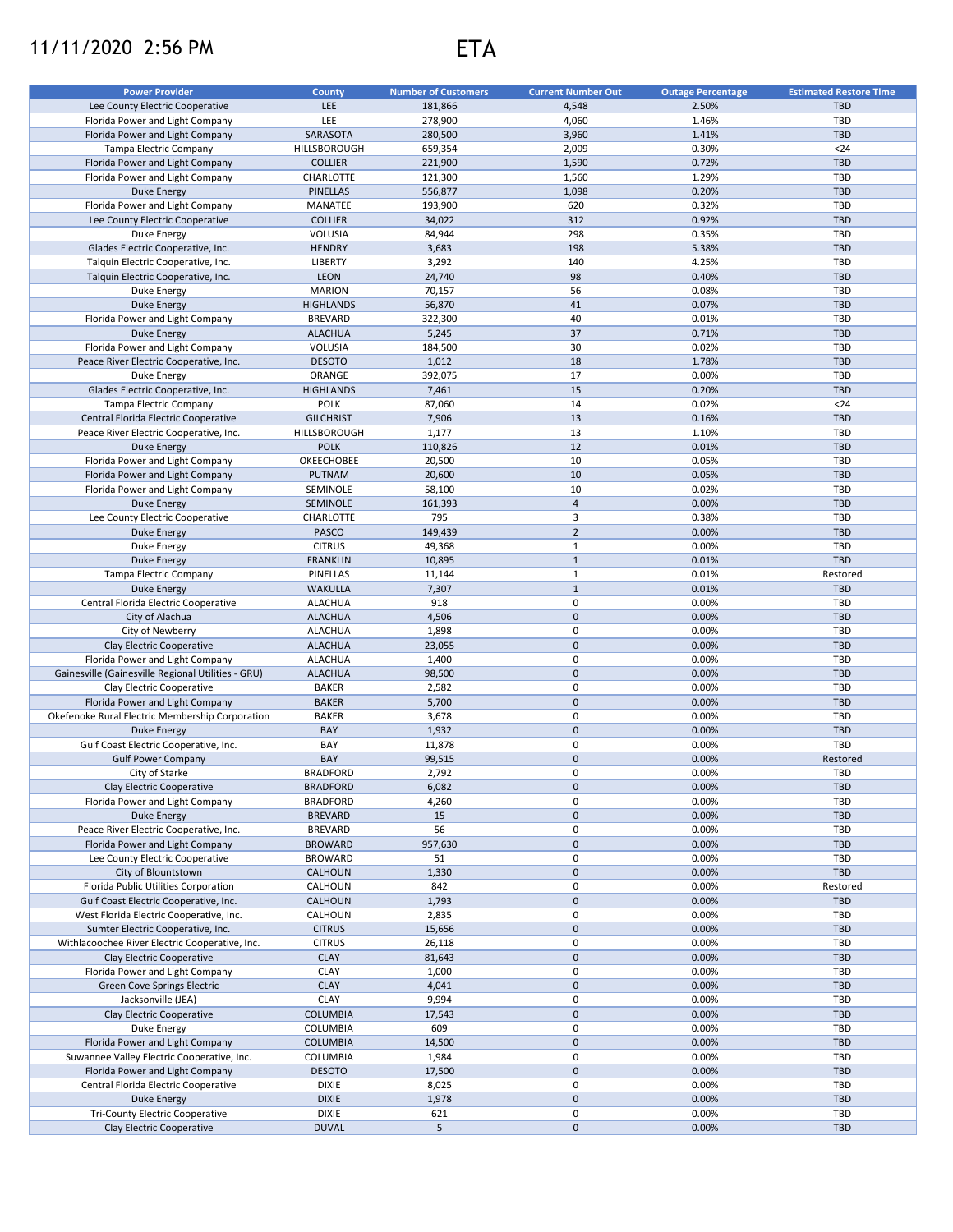## 11/11/2020 2:56 PM ETA



| <b>Power Provider</b>                                                     | <b>County</b>                    | <b>Number of Customers</b> | <b>Current Number Out</b> | <b>Outage Percentage</b> | <b>Estimated Restore Time</b> |
|---------------------------------------------------------------------------|----------------------------------|----------------------------|---------------------------|--------------------------|-------------------------------|
| Lee County Electric Cooperative                                           | LEE                              | 181,866                    | 4,548                     | 2.50%                    | <b>TBD</b>                    |
| Florida Power and Light Company                                           | LEE                              | 278,900                    | 4,060                     | 1.46%                    | <b>TBD</b>                    |
| Florida Power and Light Company                                           | SARASOTA                         | 280,500                    | 3,960                     | 1.41%                    | <b>TBD</b>                    |
| Tampa Electric Company                                                    | HILLSBOROUGH                     | 659,354                    | 2,009                     | 0.30%                    | $24$                          |
| Florida Power and Light Company                                           | <b>COLLIER</b>                   | 221,900                    | 1,590                     | 0.72%                    | <b>TBD</b>                    |
| Florida Power and Light Company                                           | <b>CHARLOTTE</b>                 | 121,300                    | 1,560                     | 1.29%                    | TBD                           |
| <b>Duke Energy</b>                                                        | <b>PINELLAS</b>                  | 556,877                    | 1,098                     | 0.20%                    | <b>TBD</b>                    |
| Florida Power and Light Company                                           | MANATEE                          | 193,900                    | 620                       | 0.32%                    | <b>TBD</b>                    |
| Lee County Electric Cooperative                                           | <b>COLLIER</b>                   | 34,022                     | 312                       | 0.92%                    | <b>TBD</b>                    |
| Duke Energy                                                               | VOLUSIA                          | 84,944                     | 298                       | 0.35%                    | <b>TBD</b>                    |
| Glades Electric Cooperative, Inc.                                         | <b>HENDRY</b>                    | 3,683                      | 198                       | 5.38%                    | <b>TBD</b>                    |
| Talquin Electric Cooperative, Inc.                                        | <b>LIBERTY</b>                   | 3,292                      | 140                       | 4.25%                    | <b>TBD</b>                    |
| Talquin Electric Cooperative, Inc.                                        | <b>LEON</b>                      | 24,740                     | 98                        | 0.40%                    | <b>TBD</b>                    |
| Duke Energy                                                               | <b>MARION</b>                    | 70,157                     | 56                        | 0.08%                    | TBD                           |
| Duke Energy                                                               | <b>HIGHLANDS</b>                 | 56,870                     | 41                        | 0.07%                    | <b>TBD</b>                    |
| Florida Power and Light Company                                           | <b>BREVARD</b>                   | 322,300                    | 40                        | 0.01%                    | <b>TBD</b>                    |
| <b>Duke Energy</b>                                                        | <b>ALACHUA</b>                   | 5,245                      | 37                        | 0.71%                    | <b>TBD</b>                    |
| Florida Power and Light Company                                           | VOLUSIA                          | 184,500                    | 30                        | 0.02%                    | <b>TBD</b>                    |
| Peace River Electric Cooperative, Inc.                                    | <b>DESOTO</b>                    | 1,012                      | 18                        | 1.78%                    | <b>TBD</b>                    |
| Duke Energy                                                               | ORANGE                           | 392,075                    | 17                        | 0.00%                    | TBD                           |
| Glades Electric Cooperative, Inc.                                         | <b>HIGHLANDS</b>                 | 7,461                      | 15                        | 0.20%                    | <b>TBD</b>                    |
| Tampa Electric Company                                                    | <b>POLK</b>                      | 87,060                     | 14                        | 0.02%                    | $24$                          |
| Central Florida Electric Cooperative                                      | <b>GILCHRIST</b>                 | 7,906                      | 13                        | 0.16%                    | <b>TBD</b>                    |
| Peace River Electric Cooperative, Inc.                                    | HILLSBOROUGH                     | 1,177                      | 13                        | 1.10%                    | <b>TBD</b>                    |
|                                                                           | <b>POLK</b>                      |                            | 12                        | 0.01%                    | <b>TBD</b>                    |
| <b>Duke Energy</b>                                                        |                                  | 110,826                    |                           |                          |                               |
| Florida Power and Light Company                                           | OKEECHOBEE                       | 20,500                     | 10                        | 0.05%                    | <b>TBD</b>                    |
| Florida Power and Light Company                                           | <b>PUTNAM</b>                    | 20,600                     | 10                        | 0.05%                    | <b>TBD</b>                    |
| Florida Power and Light Company                                           | SEMINOLE                         | 58,100                     | 10                        | 0.02%                    | <b>TBD</b>                    |
| <b>Duke Energy</b>                                                        | SEMINOLE                         | 161,393                    | $\sqrt{4}$                | 0.00%                    | <b>TBD</b>                    |
| Lee County Electric Cooperative                                           | CHARLOTTE                        | 795                        | 3                         | 0.38%                    | <b>TBD</b>                    |
| <b>Duke Energy</b>                                                        | <b>PASCO</b>                     | 149,439                    | $\overline{2}$            | 0.00%                    | <b>TBD</b>                    |
| Duke Energy                                                               | <b>CITRUS</b>                    | 49,368                     | $\mathbf{1}$              | 0.00%                    | TBD                           |
| Duke Energy                                                               | <b>FRANKLIN</b>                  | 10,895                     | $\mathbf{1}$              | 0.01%                    | <b>TBD</b>                    |
| Tampa Electric Company                                                    | PINELLAS                         | 11,144                     | $\mathbf 1$               | 0.01%                    | Restored                      |
| Duke Energy                                                               | <b>WAKULLA</b>                   | 7,307                      | $\mathbf 1$               | 0.01%                    | <b>TBD</b>                    |
| Central Florida Electric Cooperative                                      | <b>ALACHUA</b>                   | 918                        | 0                         | 0.00%                    | TBD                           |
| City of Alachua                                                           | <b>ALACHUA</b>                   | 4,506                      | $\pmb{0}$                 | 0.00%                    | <b>TBD</b>                    |
| City of Newberry                                                          | <b>ALACHUA</b>                   | 1,898                      | 0                         | 0.00%                    | TBD                           |
| Clay Electric Cooperative                                                 | <b>ALACHUA</b>                   | 23,055                     | $\pmb{0}$                 | 0.00%                    | <b>TBD</b>                    |
| Florida Power and Light Company                                           | <b>ALACHUA</b>                   | 1,400                      | 0                         | 0.00%                    | <b>TBD</b>                    |
| Gainesville (Gainesville Regional Utilities - GRU)                        | <b>ALACHUA</b>                   | 98,500                     | $\pmb{0}$                 | 0.00%                    | <b>TBD</b>                    |
| Clay Electric Cooperative                                                 | <b>BAKER</b>                     | 2,582                      | 0                         | 0.00%                    | <b>TBD</b>                    |
| Florida Power and Light Company                                           | <b>BAKER</b>                     | 5,700                      | $\pmb{0}$                 | 0.00%                    | <b>TBD</b>                    |
| Okefenoke Rural Electric Membership Corporation                           | <b>BAKER</b>                     | 3,678                      | 0                         | 0.00%                    | <b>TBD</b>                    |
| <b>Duke Energy</b>                                                        | BAY                              | 1,932                      | $\pmb{0}$                 | 0.00%                    | <b>TBD</b>                    |
| Gulf Coast Electric Cooperative, Inc.                                     | BAY                              | 11,878                     | 0                         | 0.00%                    | TBD                           |
| <b>Gulf Power Company</b>                                                 | BAY                              | 99,515                     | $\pmb{0}$                 | 0.00%                    | Restored                      |
| City of Starke                                                            | <b>BRADFORD</b>                  | 2,792                      | 0                         | 0.00%                    | TBD                           |
| Clay Electric Cooperative                                                 | <b>BRADFORD</b>                  | 6,082                      | $\pmb{0}$                 | 0.00%                    | <b>TBD</b>                    |
| Florida Power and Light Company                                           | <b>BRADFORD</b>                  | 4,260                      | 0                         | 0.00%                    | <b>TBD</b>                    |
| <b>Duke Energy</b>                                                        | <b>BREVARD</b>                   | 15                         | $\pmb{0}$                 | 0.00%                    | <b>TBD</b>                    |
|                                                                           |                                  |                            |                           |                          |                               |
| Peace River Electric Cooperative, Inc.<br>Florida Power and Light Company | <b>BREVARD</b><br><b>BROWARD</b> | 56                         | 0<br>$\pmb{0}$            | 0.00%<br>0.00%           | <b>TBD</b><br><b>TBD</b>      |
|                                                                           |                                  | 957,630                    |                           |                          |                               |
| Lee County Electric Cooperative                                           | <b>BROWARD</b>                   | 51                         | 0                         | 0.00%                    | <b>TBD</b>                    |
| City of Blountstown                                                       | CALHOUN                          | 1,330                      | $\pmb{0}$                 | 0.00%                    | <b>TBD</b>                    |
| Florida Public Utilities Corporation                                      | CALHOUN                          | 842                        | 0                         | 0.00%                    | Restored                      |
| Gulf Coast Electric Cooperative, Inc.                                     | CALHOUN                          | 1,793                      | $\mathsf{O}\xspace$       | 0.00%                    | <b>TBD</b>                    |
| West Florida Electric Cooperative, Inc.                                   | CALHOUN                          | 2,835                      | 0                         | 0.00%                    | TBD                           |
| Sumter Electric Cooperative, Inc.                                         | <b>CITRUS</b>                    | 15,656                     | $\mathsf{O}\xspace$       | 0.00%                    | <b>TBD</b>                    |
| Withlacoochee River Electric Cooperative, Inc.                            | <b>CITRUS</b>                    | 26,118                     | 0                         | 0.00%                    | <b>TBD</b>                    |
| Clay Electric Cooperative                                                 | <b>CLAY</b>                      | 81,643                     | $\mathsf{O}\xspace$       | 0.00%                    | <b>TBD</b>                    |
| Florida Power and Light Company                                           | CLAY                             | 1,000                      | 0                         | 0.00%                    | <b>TBD</b>                    |
| Green Cove Springs Electric                                               | <b>CLAY</b>                      | 4,041                      | $\mathsf{O}\xspace$       | 0.00%                    | <b>TBD</b>                    |
| Jacksonville (JEA)                                                        | <b>CLAY</b>                      | 9,994                      | 0                         | 0.00%                    | <b>TBD</b>                    |
| Clay Electric Cooperative                                                 | <b>COLUMBIA</b>                  | 17,543                     | $\pmb{0}$                 | 0.00%                    | <b>TBD</b>                    |
| Duke Energy                                                               | COLUMBIA                         | 609                        | 0                         | 0.00%                    | <b>TBD</b>                    |
| Florida Power and Light Company                                           | COLUMBIA                         | 14,500                     | $\pmb{0}$                 | 0.00%                    | <b>TBD</b>                    |
| Suwannee Valley Electric Cooperative, Inc.                                | COLUMBIA                         | 1,984                      | 0                         | 0.00%                    | <b>TBD</b>                    |
| Florida Power and Light Company                                           | <b>DESOTO</b>                    | 17,500                     | $\pmb{0}$                 | 0.00%                    | TBD                           |
| Central Florida Electric Cooperative                                      | DIXIE                            | 8,025                      | 0                         | 0.00%                    | <b>TBD</b>                    |
| <b>Duke Energy</b>                                                        | <b>DIXIE</b>                     | 1,978                      | $\pmb{0}$                 | 0.00%                    | <b>TBD</b>                    |
| Tri-County Electric Cooperative                                           | <b>DIXIE</b>                     | 621                        | 0                         | 0.00%                    | <b>TBD</b>                    |
| Clay Electric Cooperative                                                 | <b>DUVAL</b>                     | 5                          | $\mathsf{O}\xspace$       | 0.00%                    | <b>TBD</b>                    |
|                                                                           |                                  |                            |                           |                          |                               |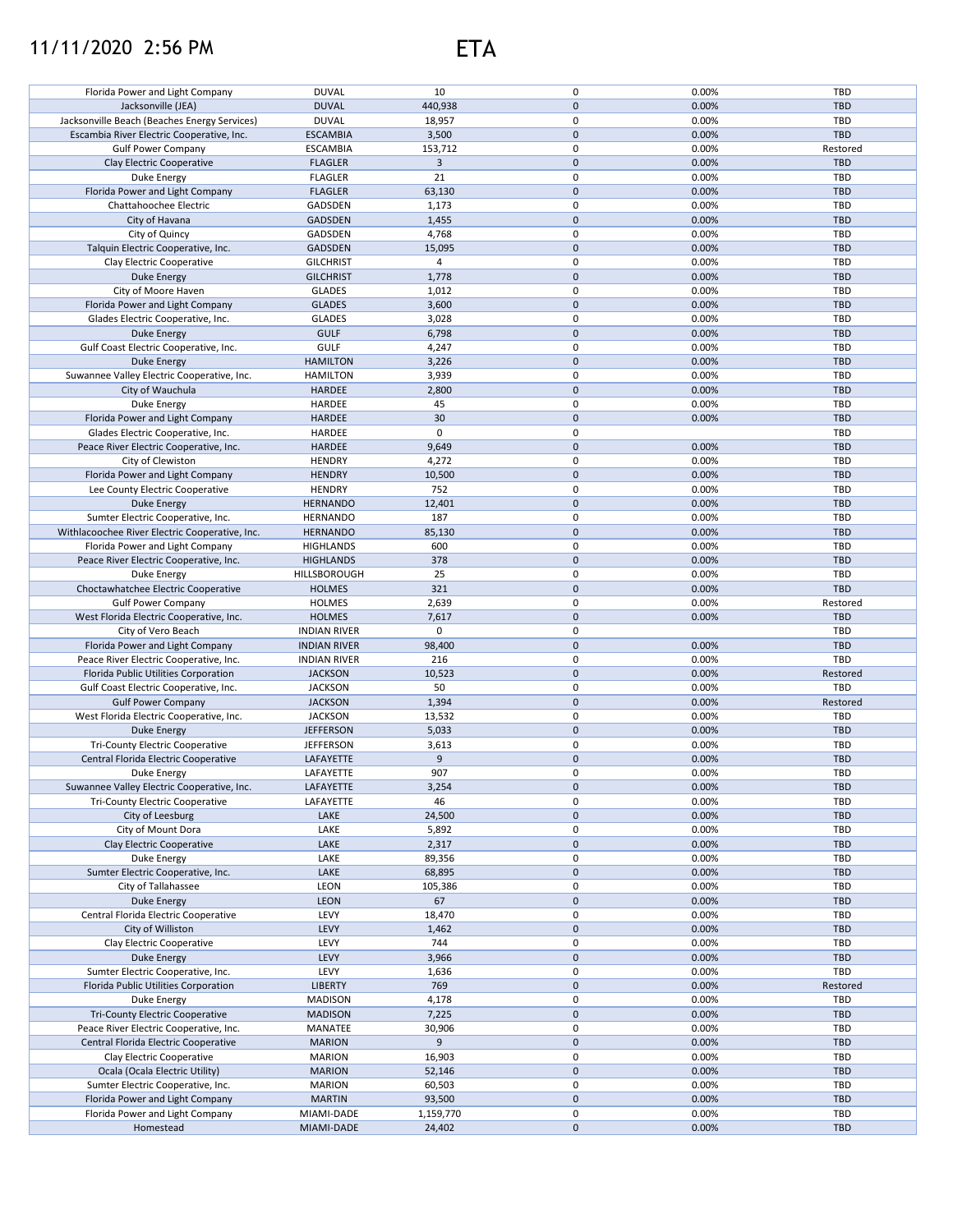## 11/11/2020 2:56 PM ETA



| Florida Power and Light Company                | <b>DUVAL</b>             | 10                  | 0                   | 0.00%          | TBD        |
|------------------------------------------------|--------------------------|---------------------|---------------------|----------------|------------|
| Jacksonville (JEA)                             | <b>DUVAL</b>             | 440,938             | $\pmb{0}$           | 0.00%          | <b>TBD</b> |
|                                                |                          |                     |                     |                |            |
| Jacksonville Beach (Beaches Energy Services)   | <b>DUVAL</b>             | 18,957              | $\mathbf 0$         | 0.00%          | TBD        |
| Escambia River Electric Cooperative, Inc.      | <b>ESCAMBIA</b>          | 3,500               | $\pmb{0}$           | 0.00%          | <b>TBD</b> |
| <b>Gulf Power Company</b>                      | <b>ESCAMBIA</b>          | 153,712             | 0                   | 0.00%          | Restored   |
|                                                |                          |                     |                     |                |            |
| Clay Electric Cooperative                      | <b>FLAGLER</b>           | $\mathbf{3}$        | $\pmb{0}$           | 0.00%          | <b>TBD</b> |
| Duke Energy                                    | <b>FLAGLER</b>           | 21                  | 0                   | 0.00%          | <b>TBD</b> |
| Florida Power and Light Company                | <b>FLAGLER</b>           | 63,130              | $\mathsf 0$         | 0.00%          | <b>TBD</b> |
|                                                |                          |                     | 0                   | 0.00%          | <b>TBD</b> |
| Chattahoochee Electric                         | GADSDEN                  | 1,173               |                     |                |            |
| City of Havana                                 | GADSDEN                  | 1,455               | $\mathsf 0$         | 0.00%          | <b>TBD</b> |
| City of Quincy                                 | GADSDEN                  | 4,768               | 0                   | 0.00%          | TBD        |
| Talquin Electric Cooperative, Inc.             | GADSDEN                  | 15,095              | $\pmb{0}$           | 0.00%          | <b>TBD</b> |
|                                                |                          |                     |                     |                |            |
| Clay Electric Cooperative                      | <b>GILCHRIST</b>         | $\overline{4}$      | 0                   | 0.00%          | TBD        |
| <b>Duke Energy</b>                             | <b>GILCHRIST</b>         | 1,778               | $\pmb{0}$           | 0.00%          | <b>TBD</b> |
| City of Moore Haven                            | <b>GLADES</b>            | 1,012               | 0                   | 0.00%          | <b>TBD</b> |
|                                                |                          |                     |                     |                |            |
| Florida Power and Light Company                | <b>GLADES</b>            | 3,600               | $\pmb{0}$           | 0.00%          | <b>TBD</b> |
| Glades Electric Cooperative, Inc.              | <b>GLADES</b>            | 3,028               | 0                   | 0.00%          | TBD        |
| <b>Duke Energy</b>                             | <b>GULF</b>              | 6,798               | $\pmb{0}$           | 0.00%          | <b>TBD</b> |
|                                                | <b>GULF</b>              |                     | 0                   | 0.00%          | TBD        |
| Gulf Coast Electric Cooperative, Inc.          |                          | 4,247               |                     |                |            |
| <b>Duke Energy</b>                             | <b>HAMILTON</b>          | 3,226               | $\pmb{0}$           | 0.00%          | <b>TBD</b> |
| Suwannee Valley Electric Cooperative, Inc.     | <b>HAMILTON</b>          | 3,939               | 0                   | 0.00%          | <b>TBD</b> |
| City of Wauchula                               | HARDEE                   | 2,800               | $\mathbf{0}$        | 0.00%          | <b>TBD</b> |
|                                                |                          |                     |                     |                |            |
| <b>Duke Energy</b>                             | HARDEE                   | 45                  | 0                   | 0.00%          | <b>TBD</b> |
| Florida Power and Light Company                | <b>HARDEE</b>            | 30                  | $\pmb{0}$           | 0.00%          | <b>TBD</b> |
| Glades Electric Cooperative, Inc.              | HARDEE                   | 0                   | 0                   |                | TBD        |
|                                                |                          |                     |                     |                |            |
| Peace River Electric Cooperative, Inc.         | <b>HARDEE</b>            | 9,649               | $\pmb{0}$           | 0.00%          | <b>TBD</b> |
| City of Clewiston                              | <b>HENDRY</b>            | 4,272               | 0                   | 0.00%          | TBD        |
| Florida Power and Light Company                | <b>HENDRY</b>            | 10,500              | $\pmb{0}$           | 0.00%          | <b>TBD</b> |
|                                                |                          |                     |                     |                |            |
| Lee County Electric Cooperative                | <b>HENDRY</b>            | 752                 | 0                   | 0.00%          | <b>TBD</b> |
| Duke Energy                                    | <b>HERNANDO</b>          | 12,401              | $\pmb{0}$           | 0.00%          | <b>TBD</b> |
| Sumter Electric Cooperative, Inc.              | <b>HERNANDO</b>          | 187                 | 0                   | 0.00%          | TBD        |
|                                                |                          |                     |                     |                |            |
| Withlacoochee River Electric Cooperative, Inc. | <b>HERNANDO</b>          | 85,130              | $\pmb{0}$           | 0.00%          | <b>TBD</b> |
| Florida Power and Light Company                | <b>HIGHLANDS</b>         | 600                 | 0                   | 0.00%          | TBD        |
| Peace River Electric Cooperative, Inc.         | <b>HIGHLANDS</b>         | 378                 | $\mathsf 0$         | 0.00%          | <b>TBD</b> |
| <b>Duke Energy</b>                             | HILLSBOROUGH             | 25                  | 0                   | 0.00%          | TBD        |
|                                                |                          |                     |                     |                |            |
| Choctawhatchee Electric Cooperative            | <b>HOLMES</b>            | 321                 | $\mathsf 0$         | 0.00%          | <b>TBD</b> |
| <b>Gulf Power Company</b>                      | <b>HOLMES</b>            | 2,639               | 0                   | 0.00%          | Restored   |
| West Florida Electric Cooperative, Inc.        | <b>HOLMES</b>            | 7,617               | $\mathsf 0$         | 0.00%          | <b>TBD</b> |
|                                                |                          |                     |                     |                |            |
|                                                |                          |                     |                     |                |            |
| City of Vero Beach                             | <b>INDIAN RIVER</b>      | 0                   | 0                   |                | TBD        |
| Florida Power and Light Company                | <b>INDIAN RIVER</b>      | 98,400              | $\pmb{0}$           | 0.00%          | <b>TBD</b> |
|                                                |                          |                     |                     |                |            |
| Peace River Electric Cooperative, Inc.         | <b>INDIAN RIVER</b>      | 216                 | 0                   | 0.00%          | <b>TBD</b> |
| Florida Public Utilities Corporation           | <b>JACKSON</b>           | 10,523              | $\mathbf{0}$        | 0.00%          | Restored   |
| Gulf Coast Electric Cooperative, Inc.          | <b>JACKSON</b>           | 50                  | 0                   | 0.00%          | TBD        |
|                                                |                          |                     |                     |                |            |
| <b>Gulf Power Company</b>                      | <b>JACKSON</b>           | 1,394               | $\pmb{0}$           | 0.00%          | Restored   |
| West Florida Electric Cooperative, Inc.        | <b>JACKSON</b>           | 13,532              | 0                   | 0.00%          | <b>TBD</b> |
| <b>Duke Energy</b>                             | <b>JEFFERSON</b>         | 5,033               | $\pmb{0}$           | 0.00%          | <b>TBD</b> |
| <b>Tri-County Electric Cooperative</b>         | <b>JEFFERSON</b>         | 3,613               | 0                   | 0.00%          | TBD        |
|                                                |                          |                     |                     |                |            |
| Central Florida Electric Cooperative           | LAFAYETTE                | 9                   | $\pmb{0}$           | 0.00%          | <b>TBD</b> |
| Duke Energy                                    | LAFAYETTE                | 907                 | 0                   | 0.00%          | TBD        |
| Suwannee Valley Electric Cooperative, Inc.     | LAFAYETTE                | 3,254               | $\pmb{0}$           | 0.00%          | <b>TBD</b> |
| <b>Tri-County Electric Cooperative</b>         |                          |                     | 0                   |                | TBD        |
|                                                | LAFAYETTE                | 46                  |                     | 0.00%          |            |
| City of Leesburg                               | LAKE                     | 24,500              | $\mathbf 0$         | 0.00%          | TBD        |
| City of Mount Dora                             | LAKE                     | 5,892               | 0                   | 0.00%          | TBD        |
| Clay Electric Cooperative                      | LAKE                     | 2,317               | $\pmb{0}$           | 0.00%          | <b>TBD</b> |
|                                                |                          |                     |                     |                |            |
| Duke Energy                                    | LAKE                     | 89,356              | 0                   | 0.00%          | TBD        |
| Sumter Electric Cooperative, Inc.              | LAKE                     | 68,895              | $\mathsf{O}\xspace$ | 0.00%          | <b>TBD</b> |
| City of Tallahassee                            | LEON                     | 105,386             | 0                   | 0.00%          | TBD        |
|                                                |                          |                     |                     |                |            |
| Duke Energy                                    | <b>LEON</b>              | 67                  | $\pmb{0}$           | 0.00%          | <b>TBD</b> |
| Central Florida Electric Cooperative           | LEVY                     | 18,470              | 0                   | 0.00%          | TBD        |
| City of Williston                              | LEVY                     | 1,462               | $\pmb{0}$           | 0.00%          | <b>TBD</b> |
| Clay Electric Cooperative                      | LEVY                     | 744                 | 0                   | 0.00%          | TBD        |
|                                                |                          |                     |                     |                |            |
| Duke Energy                                    | LEVY                     | 3,966               | $\pmb{0}$           | 0.00%          | <b>TBD</b> |
| Sumter Electric Cooperative, Inc.              | LEVY                     | 1,636               | 0                   | 0.00%          | TBD        |
| Florida Public Utilities Corporation           | <b>LIBERTY</b>           | 769                 | $\pmb{0}$           | 0.00%          | Restored   |
|                                                |                          |                     |                     |                |            |
| Duke Energy                                    | <b>MADISON</b>           | 4,178               | 0                   | 0.00%          | TBD        |
| <b>Tri-County Electric Cooperative</b>         | <b>MADISON</b>           | 7,225               | $\pmb{0}$           | 0.00%          | <b>TBD</b> |
| Peace River Electric Cooperative, Inc.         | MANATEE                  | 30,906              | 0                   | 0.00%          | TBD        |
| Central Florida Electric Cooperative           | <b>MARION</b>            | 9                   | $\pmb{0}$           | 0.00%          | <b>TBD</b> |
|                                                |                          |                     |                     |                |            |
| Clay Electric Cooperative                      | <b>MARION</b>            | 16,903              | 0                   | 0.00%          | TBD        |
| Ocala (Ocala Electric Utility)                 | <b>MARION</b>            | 52,146              | $\pmb{0}$           | 0.00%          | TBD        |
| Sumter Electric Cooperative, Inc.              | <b>MARION</b>            | 60,503              | 0                   | 0.00%          | TBD        |
|                                                |                          |                     |                     |                |            |
| Florida Power and Light Company                | <b>MARTIN</b>            | 93,500              | $\mathsf{O}\xspace$ | 0.00%          | <b>TBD</b> |
| Florida Power and Light Company<br>Homestead   | MIAMI-DADE<br>MIAMI-DADE | 1,159,770<br>24,402 | 0<br>$\pmb{0}$      | 0.00%<br>0.00% | TBD<br>TBD |